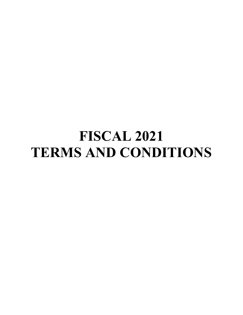# **FISCAL 2021 TERMS AND CONDITIONS**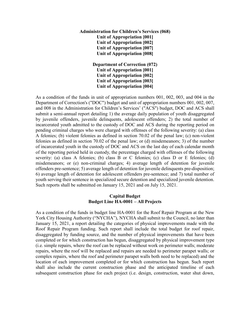## **Administration for Children's Services (068) Unit of Appropriation [001] Unit of Appropriation [002] Unit of Appropriation [007] Unit of Appropriation [008]**

**Department of Correction (072) Unit of Appropriation [001] Unit of Appropriation [002] Unit of Appropriation [003] Unit of Appropriation [004]**

As a condition of the funds in unit of appropriation numbers 001, 002, 003, and 004 in the Department of Correction's ("DOC") budget and unit of appropriation numbers 001, 002, 007, and 008 in the Administration for Children's Services' ("ACS") budget, DOC and ACS shall submit a semi-annual report detailing 1) the average daily population of youth disaggregated by juvenile offenders, juvenile delinquents, adolescent offenders; 2) the total number of incarcerated youth admitted to the custody of DOC and ACS during the reporting period on pending criminal charges who were charged with offenses of the following severity: (a) class A felonies; (b) violent felonies as defined in section 70.02 of the penal law; (c) non-violent felonies as defined in section 70.02 of the penal law; or (d) misdemeanors; 3) of the number of incarcerated youth in the custody of DOC and ACS on the last day of each calendar month of the reporting period held in custody, the percentage charged with offenses of the following severity: (a) class A felonies; (b) class B or C felonies; (c) class D or E felonies; (d) misdemeanors; or (e) non-criminal charges; 4) average length of detention for juvenile offenders pre-sentence; 5) average length of detention for juvenile delinquents pre-disposition; 6) average length of detention for adolescent offenders pre-sentence; and 7) total number of youth serving their sentence in specialized secure detention and specialized juvenile detention. Such reports shall be submitted on January 15, 2021 and on July 15, 2021.

#### **Capital Budget Budget Line HA-0001 – All Projects**

As a condition of the funds in budget line HA-0001 for the Roof Repair Program at the New York City Housing Authority ("NYCHA"), NYCHA shall submit to the Council, no later than January 15, 2021, a report detailing the categories of physical improvements made with the Roof Repair Program funding. Such report shall include the total budget for roof repair, disaggregated by funding source, and the number of physical improvements that have been completed or for which construction has begun, disaggregated by physical improvement type (i.e. simple repairs, where the roof can be replaced without work on perimeter walls; moderate repairs, where the roof will be replaced and repairs are needed to perimeter parapet walls; or complex repairs, where the roof and perimeter parapet walls both need to be replaced) and the location of each improvement completed or for which construction has begun. Such report shall also include the current construction phase and the anticipated timeline of each subsequent construction phase for each project (i.e. design, construction, water shut down,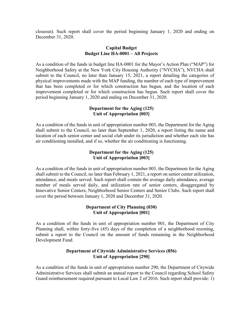closeout). Such report shall cover the period beginning January 1, 2020 and ending on December 31, 2020.

## **Capital Budget Budget Line HA-0001 – All Projects**

As a condition of the funds in budget line HA-0001 for the Mayor's Action Plan ("MAP") for Neighborhood Safety at the New York City Housing Authority ("NYCHA"), NYCHA shall submit to the Council, no later than January 15, 2021, a report detailing the categories of physical improvements made with the MAP funding, the number of each type of improvement that has been completed or for which construction has begun, and the location of each improvement completed or for which construction has begun. Such report shall cover the period beginning January 1, 2020 and ending on December 31, 2020.

## **Department for the Aging (125) Unit of Appropriation [003]**

As a condition of the funds in unit of appropriation number 003, the Department for the Aging shall submit to the Council, no later than September 1, 2020, a report listing the name and location of each senior center and social club under its jurisdiction and whether each site has air conditioning installed, and if so, whether the air conditioning is functioning.

## **Department for the Aging (125) Unit of Appropriation [003]**

As a condition of the funds in unit of appropriation number 003, the Department for the Aging shall submit to the Council, no later than February 1, 2021, a report on senior center utilization, attendance, and meals served. Such report shall contain the average daily attendance, average number of meals served daily, and utilization rate of senior centers, disaggregated by Innovative Senior Centers, Neighborhood Senior Centers and Senior Clubs. Such report shall cover the period between January 1, 2020 and December 31, 2020.

## **Department of City Planning (030) Unit of Appropriation [001]**

As a condition of the funds in unit of appropriation number 001, the Department of City Planning shall, within forty-five (45) days of the completion of a neighborhood rezoning, submit a report to the Council on the amount of funds remaining in the Neighborhood Development Fund.

## **Department of Citywide Administrative Services (856) Unit of Appropriation [290]**

As a condition of the funds in unit of appropriation number 290, the Department of Citywide Administrative Services shall submit an annual report to the Council regarding School Safety Guard reimbursement required pursuant to Local Law 2 of 2016. Such report shall provide: 1)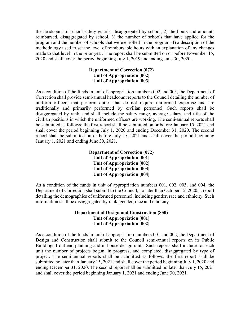the headcount of school safety guards, disaggregated by school, 2) the hours and amounts reimbursed, disaggregated by school, 3) the number of schools that have applied for the program and the number of schools that were enrolled in the program, 4) a description of the methodology used to set the level of reimbursable hours with an explanation of any changes made to that level in the prior year. The report shall be submitted on or before November 15, 2020 and shall cover the period beginning July 1, 2019 and ending June 30, 2020.

#### **Department of Correction (072) Unit of Appropriation [002] Unit of Appropriation [003]**

As a condition of the funds in unit of appropriation numbers 002 and 003, the Department of Correction shall provide semi-annual headcount reports to the Council detailing the number of uniform officers that perform duties that do not require uniformed expertise and are traditionally and primarily performed by civilian personnel. Such reports shall be disaggregated by rank, and shall include the salary range, average salary, and title of the civilian positions in which the uniformed officers are working. The semi-annual reports shall be submitted as follows: the first report shall be submitted on or before January 15, 2021 and shall cover the period beginning July 1, 2020 and ending December 31, 2020. The second report shall be submitted on or before July 15, 2021 and shall cover the period beginning January 1, 2021 and ending June 30, 2021.

> **Department of Correction (072) Unit of Appropriation [001] Unit of Appropriation [002] Unit of Appropriation [003] Unit of Appropriation [004]**

As a condition of the funds in unit of appropriation numbers 001, 002, 003, and 004, the Department of Correction shall submit to the Council, no later than October 15, 2020, a report detailing the demographics of uniformed personnel, including gender, race and ethnicity. Such information shall be disaggregated by rank, gender, race and ethnicity.

## **Department of Design and Construction (850) Unit of Appropriation [001] Unit of Appropriation [002]**

As a condition of the funds in unit of appropriation numbers 001 and 002, the Department of Design and Construction shall submit to the Council semi-annual reports on its Public Buildings front-end planning and in-house design units. Such reports shall include for each unit the number of projects begun, in progress, and completed, disaggregated by type of project. The semi-annual reports shall be submitted as follows: the first report shall be submitted no later than January 15, 2021 and shall cover the period beginning July 1, 2020 and ending December 31, 2020. The second report shall be submitted no later than July 15, 2021 and shall cover the period beginning January 1, 2021 and ending June 30, 2021.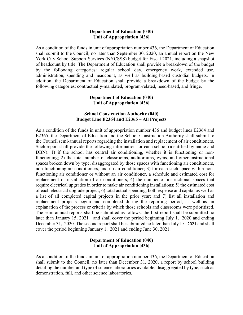#### **Department of Education (040) Unit of Appropriation [436]**

As a condition of the funds in unit of appropriation number 436, the Department of Education shall submit to the Council, no later than September 30, 2020, an annual report on the New York City School Support Services (NYCSSS) budget for Fiscal 2021, including a snapshot of headcount by title. The Department of Education shall provide a breakdown of the budget by the following categories: regular school day, emergency work, extended use, administration, spending and headcount, as well as building-based custodial budgets. In addition, the Department of Education shall provide a breakdown of the budget by the following categories: contractually-mandated, program-related, need-based, and fringe.

## **Department of Education (040) Unit of Appropriation [436]**

#### **School Construction Authority (040) Budget Line E2364 and E2365 – All Projects**

As a condition of the funds in unit of appropriation number 436 and budget lines E2364 and E2365, the Department of Education and the School Construction Authority shall submit to the Council semi-annual reports regarding the installation and replacement of air conditioners. Such report shall provide the following information for each school (identified by name and DBN): 1) if the school has central air conditioning, whether it is functioning or nonfunctioning; 2) the total number of classrooms, auditoriums, gyms, and other instructional spaces broken down by type, disaggregated by those spaces with functioning air conditioners, non-functioning air conditioners, and no air conditioner; 3) for each such space with a nonfunctioning air conditioner or without an air conditioner, a schedule and estimated cost for replacement or installation of air conditioners; 4) the number of instructional spaces that require electrical upgrades in order to make air conditioning installations; 5) the estimated cost of each electrical upgrade project; 6) total actual spending, both expense and capital as well as a list of all completed capital projects in the prior year; and 7) list all installation and replacement projects begun and completed during the reporting period, as well as an explanation of the process or criteria by which those schools and classrooms were prioritized. The semi-annual reports shall be submitted as follows: the first report shall be submitted no later than January 15, 2021 and shall cover the period beginning July 1, 2020 and ending December 31, 2020. The second report shall be submitted no later than July 15, 2021 and shall cover the period beginning January 1, 2021 and ending June 30, 2021.

## **Department of Education (040) Unit of Appropriation [436]**

As a condition of the funds in unit of appropriation number 436, the Department of Education shall submit to the Council, no later than December 31, 2020, a report by school building detailing the number and type of science laboratories available, disaggregated by type, such as demonstration, full, and other science laboratories.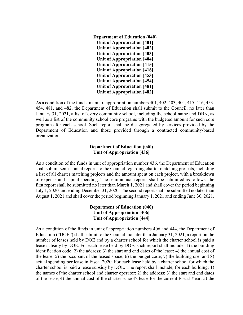**Department of Education (040) Unit of Appropriation [401] Unit of Appropriation [402] Unit of Appropriation [403] Unit of Appropriation [404] Unit of Appropriation [415] Unit of Appropriation [416] Unit of Appropriation [453] Unit of Appropriation [454] Unit of Appropriation [481] Unit of Appropriation [482]**

As a condition of the funds in unit of appropriation numbers 401, 402, 403, 404, 415, 416, 453, 454, 481, and 482, the Department of Education shall submit to the Council, no later than January 31, 2021, a list of every community school, including the school name and DBN, as well as a list of the community school core programs with the budgeted amount for such core programs for each school. Such report shall be disaggregated by services provided by the Department of Education and those provided through a contracted community-based organization.

## **Department of Education (040) Unit of Appropriation [436]**

As a condition of the funds in unit of appropriation number 436, the Department of Education shall submit semi-annual reports to the Council regarding charter matching projects, including a list of all charter matching projects and the amount spent on each project, with a breakdown of expense and capital spending. The semi-annual reports shall be submitted as follows: the first report shall be submitted no later than March 1, 2021 and shall cover the period beginning July 1, 2020 and ending December 31, 2020. The second report shall be submitted no later than August 1, 2021 and shall cover the period beginning January 1, 2021 and ending June 30, 2021.

## **Department of Education (040) Unit of Appropriation [406] Unit of Appropriation [444]**

As a condition of the funds in unit of appropriation numbers 406 and 444, the Department of Education ("DOE") shall submit to the Council, no later than January 31, 2021, a report on the number of leases held by DOE and by a charter school for which the charter school is paid a lease subsidy by DOE. For each lease held by DOE, such report shall include: 1) the building identification code; 2) the address; 3) the start and end dates of the lease; 4) the annual cost of the lease; 5) the occupant of the leased space; 6) the budget code; 7) the building use; and 8) actual spending per lease in Fiscal 2020. For each lease held by a charter school for which the charter school is paid a lease subsidy by DOE. The report shall include, for each building: 1) the names of the charter school and charter operator; 2) the address; 3) the start and end dates of the lease, 4) the annual cost of the charter school's lease for the current Fiscal Year; 5) the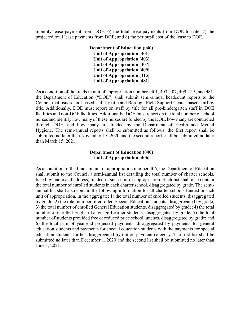monthly lease payment from DOE; 6) the total lease payments from DOE to date; 7) the projected total lease payments from DOE; and 8) the per pupil cost of the lease to DOE.

## **Department of Education (040) Unit of Appropriation [401] Unit of Appropriation [403] Unit of Appropriation [407] Unit of Appropriation [409] Unit of Appropriation [415] Unit of Appropriation [481]**

As a condition of the funds in unit of appropriation numbers 401, 403, 407, 409, 415, and 481, the Department of Education ("DOE") shall submit semi-annual headcount reports to the Council that lists school-based staff by title and Borough Field Support Center-based staff by title. Additionally, DOE must report on staff by title for all pre-kindergarten staff in DOE facilities and non-DOE facilities. Additionally, DOE must report on the total number of school nurses and identify how many of these nurses are funded by the DOE, how many are contracted through DOE, and how many are funded by the Department of Health and Mental Hygiene. The semi-annual reports shall be submitted as follows: the first report shall be submitted no later than November 15, 2020 and the second report shall be submitted no later than March 15, 2021.

## **Department of Education (040) Unit of Appropriation [406]**

As a condition of the funds in unit of appropriation number 406, the Department of Education shall submit to the Council a semi-annual list detailing the total number of charter schools, listed by name and address, funded in such unit of appropriation. Such list shall also contain the total number of enrolled students in each charter school, disaggregated by grade. The semiannual list shall also contain the following information for all charter schools funded in such unit of appropriation, in the aggregate: 1) the total number of enrolled students, disaggregated by grade; 2) the total number of enrolled Special Education students, disaggregated by grade; 3) the total number of enrolled General Education students, disaggregated by grade; 4) the total number of enrolled English Language Learner students, disaggregated by grade; 5) the total number of students provided free or reduced price school lunches, disaggregated by grade; and 6) the total sum of year-end projected payments, disaggregated by payments for general education students and payments for special education students with the payments for special education students further disaggregated by tuition payment category. The first list shall be submitted no later than December 1, 2020 and the second list shall be submitted no later than June 1, 2021.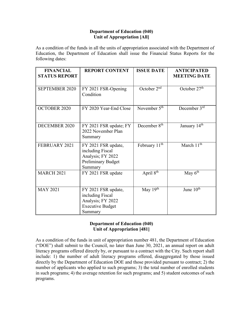## **Department of Education (040) Unit of Appropriation [All]**

As a condition of the funds in all the units of appropriation associated with the Department of Education, the Department of Education shall issue the Financial Status Reports for the following dates:

| <b>FINANCIAL</b><br><b>STATUS REPORT</b> | <b>REPORT CONTENT</b>                                                                                | <b>ISSUE DATE</b>         | <b>ANTICIPATED</b><br><b>MEETING DATE</b> |
|------------------------------------------|------------------------------------------------------------------------------------------------------|---------------------------|-------------------------------------------|
| <b>SEPTEMBER 2020</b>                    | FY 2021 FSR-Opening<br>Condition                                                                     | October $2nd$             | October 27 <sup>th</sup>                  |
| <b>OCTOBER 2020</b>                      | FY 2020 Year-End Close                                                                               | November $5th$            | December 3rd                              |
| <b>DECEMBER 2020</b>                     | FY 2021 FSR update; FY<br>2022 November Plan<br>Summary                                              | December 8 <sup>th</sup>  | January 14th                              |
| FEBRUARY 2021                            | FY 2021 FSR update,<br>including Fiscal<br>Analysis; FY 2022<br><b>Preliminary Budget</b><br>Summary | February 11 <sup>th</sup> | March 11 <sup>th</sup>                    |
| <b>MARCH 2021</b>                        | FY 2021 FSR update                                                                                   | April 8th                 | May $\overline{6^{th}}$                   |
| <b>MAY 2021</b>                          | FY 2021 FSR update,<br>including Fiscal<br>Analysis; FY 2022<br><b>Executive Budget</b><br>Summary   | May 19th                  | June 10 <sup>th</sup>                     |

## **Department of Education (040) Unit of Appropriation [481]**

As a condition of the funds in unit of appropriation number 481, the Department of Education ("DOE") shall submit to the Council, no later than June 30, 2021, an annual report on adult literacy programs offered directly by, or pursuant to a contract with the City. Such report shall include: 1) the number of adult literacy programs offered, disaggregated by those issued directly by the Department of Education DOE and those provided pursuant to contract; 2) the number of applicants who applied to such programs; 3) the total number of enrolled students in such programs; 4) the average retention for such programs; and 5) student outcomes of such programs.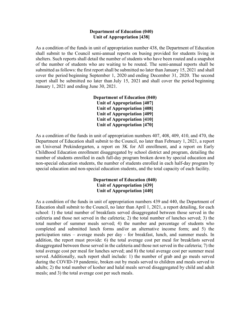#### **Department of Education (040) Unit of Appropriation [438]**

As a condition of the funds in unit of appropriation number 438, the Department of Education shall submit to the Council semi-annual reports on busing provided for students living in shelters. Such reports shall detail the number of students who have been routed and a snapshot of the number of students who are waiting to be routed. The semi-annual reports shall be submitted as follows: the first report shall be submitted no later than January 15, 2021 and shall cover the period beginning September 1, 2020 and ending December 31, 2020. The second report shall be submitted no later than July 15, 2021 and shall cover the period beginning January 1, 2021 and ending June 30, 2021.

> **Department of Education (040) Unit of Appropriation [407] Unit of Appropriation [408] Unit of Appropriation [409] Unit of Appropriation [410] Unit of Appropriation [470]**

As a condition of the funds in unit of appropriation numbers 407, 408, 409, 410, and 470, the Department of Education shall submit to the Council, no later than February 1, 2021, a report on Universal Prekindergarten, a report on 3K for All enrollment, and a report on Early Childhood Education enrollment disaggregated by school district and program, detailing the number of students enrolled in each full-day program broken down by special education and non-special education students, the number of students enrolled in each half-day program by special education and non-special education students, and the total capacity of each facility.

## **Department of Education (040) Unit of Appropriation [439] Unit of Appropriation [440]**

As a condition of the funds in unit of appropriation numbers 439 and 440, the Department of Education shall submit to the Council, no later than April 1, 2021, a report detailing, for each school: 1) the total number of breakfasts served disaggregated between those served in the cafeteria and those not served in the cafeteria; 2) the total number of lunches served; 3) the total number of summer meals served; 4) the number and percentage of students who completed and submitted lunch forms and/or an alternative income form; and 5) the participation rates – average meals per day - for breakfast, lunch, and summer meals. In addition, the report must provide: 6) the total average cost per meal for breakfasts served disaggregated between those served in the cafeteria and those not served in the cafeteria; 7) the total average cost per meal for lunches served; and 8) the total average cost per summer meal served. Additionally, such report shall include: 1) the number of grab and go meals served during the COVID-19 pandemic, broken out by meals served to children and meals served to adults; 2) the total number of kosher and halal meals served disaggregated by child and adult meals; and 3) the total average cost per such meals.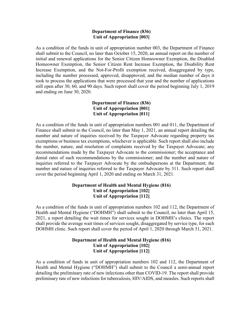#### **Department of Finance (836) Unit of Appropriation [003]**

As a condition of the funds in unit of appropriation number 003, the Department of Finance shall submit to the Council, no later than October 15, 2020, an annual report on the number of initial and renewal applications for the Senior Citizen Homeowner Exemption, the Disabled Homeowner Exemption, the Senior Citizen Rent Increase Exemption, the Disability Rent Increase Exemption, and the Not-For-Profit exemption received, disaggregated by type, including the number processed, approved, disapproved, and the median number of days it took to process the applications that were processed that year and the number of applications still open after 30, 60, and 90 days. Such report shall cover the period beginning July 1, 2019 and ending on June 30, 2020.

## **Department of Finance (836) Unit of Appropriation [001] Unit of Appropriation [011]**

As a condition of the funds in unit of appropriation numbers 001 and 011, the Department of Finance shall submit to the Council, no later than May 1, 2021, an annual report detailing the number and nature of inquiries received by the Taxpayer Advocate regarding property tax exemptions or business tax exemptions, whichever is applicable. Such report shall also include the number, nature, and resolution of complaints received by the Taxpayer Advocate; any recommendations made by the Taxpayer Advocate to the commissioner; the acceptance and denial rates of such recommendations by the commissioner; and the number and nature of inquiries referred to the Taxpayer Advocate by the ombudspersons at the Department; the number and nature of inquiries referred to the Taxpayer Advocate by 311. Such report shall cover the period beginning April 1, 2020 and ending on March 31, 2021.

## **Department of Health and Mental Hygiene (816) Unit of Appropriation [102] Unit of Appropriation [112]**

As a condition of the funds in unit of appropriation numbers 102 and 112, the Department of Health and Mental Hygiene ("DOHMH") shall submit to the Council, no later than April 15, 2021, a report detailing the wait times for services sought in DOHMH's clinics. The report shall provide the average wait times of services sought, disaggregated by service type, for each DOHMH clinic. Such report shall cover the period of April 1, 2020 through March 31, 2021.

## **Department of Health and Mental Hygiene (816) Unit of Appropriation [102] Unit of Appropriation [112]**

As a condition of funds in unit of appropriation numbers 102 and 112, the Department of Health and Mental Hygiene ("DOHMH") shall submit to the Council a semi-annual report detailing the preliminary rate of new infections other than COVID-19. The report shall provide preliminary rate of new infections for tuberculosis, HIV/AIDS, and measles. Such reports shall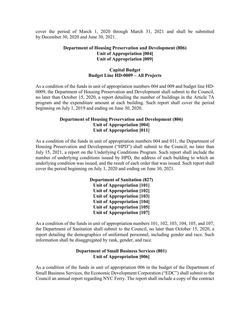cover the period of March 1, 2020 through March 31, 2021 and shall be submitted by December 30, 2020 and June 30, 2021.

## **Department of Housing Preservation and Development (806) Unit of Appropriation [004] Unit of Appropriation [009]**

#### **Capital Budget Budget Line HD-0009 – All Projects**

As a condition of the funds in unit of appropriation numbers 004 and 009 and budget line HD-0009, the Department of Housing Preservation and Development shall submit to the Council, no later than October 15, 2020, a report detailing the number of buildings in the Article 7A program and the expenditure amount at each building. Such report shall cover the period beginning on July 1, 2019 and ending on June 30, 2020.

## **Department of Housing Preservation and Development (806) Unit of Appropriation [004] Unit of Appropriation [011]**

As a condition of the funds in unit of appropriation numbers 004 and 011, the Department of Housing Preservation and Development ("HPD") shall submit to the Council, no later than July 15, 2021, a report on the Underlying Conditions Program. Such report shall include the number of underlying conditions issued by HPD, the address of each building to which an underlying condition was issued, and the result of each order that was issued. Such report shall cover the period beginning on July 1, 2020 and ending on June 30, 2021.

> **Department of Sanitation (827) Unit of Appropriation [101] Unit of Appropriation [102] Unit of Appropriation [103] Unit of Appropriation [104] Unit of Appropriation [105] Unit of Appropriation [107]**

As a condition of the funds in unit of appropriation numbers 101, 102, 103, 104, 105, and 107, the Department of Sanitation shall submit to the Council, no later than October 15, 2020, a report detailing the demographics of uniformed personnel, including gender and race. Such information shall be disaggregated by rank, gender, and race.

## **Department of Small Business Services (801) Unit of Appropriation [006]**

As a condition of the funds in unit of appropriation 006 in the budget of the Department of Small Business Services, the Economic Development Corporation ("EDC") shall submit to the Council an annual report regarding NYC Ferry. The report shall include a copy of the contract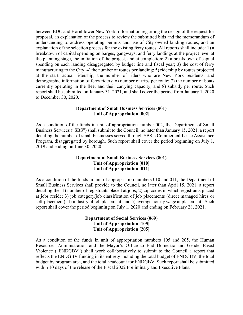between EDC and Hornblower New York, information regarding the design of the request for proposal, an explanation of the process to review the submitted bids and the memorandum of understanding to address operating permits and use of City-owned landing routes, and an explanation of the selection process for the existing ferry routes. All reports shall include: 1) a breakdown of capital spending on barges, gangways, and ferry landings at the project level at the planning stage, the initiation of the project, and at completion; 2) a breakdown of capital spending on each landing disaggregated by budget line and fiscal year; 3) the cost of ferry manufacturing to the City; 4) the number of routes per landing; 5) ridership by routes projected at the start, actual ridership, the number of riders who are New York residents, and demographic information of ferry riders; 6) number of trips per route; 7) the number of boats currently operating in the fleet and their carrying capacity; and 8) subsidy per route. Such report shall be submitted on January 31, 2021, and shall cover the period from January 1, 2020 to December 30, 2020.

#### **Department of Small Business Services (801) Unit of Appropriation [002]**

As a condition of the funds in unit of appropriation number 002, the Department of Small Business Services ("SBS") shall submit to the Council, no later than January 15, 2021, a report detailing the number of small businesses served through SBS's Commercial Lease Assistance Program, disaggregated by borough. Such report shall cover the period beginning on July 1, 2019 and ending on June 30, 2020.

## **Department of Small Business Services (801) Unit of Appropriation [010] Unit of Appropriation [011]**

As a condition of the funds in unit of appropriation numbers 010 and 011, the Department of Small Business Services shall provide to the Council, no later than April 15, 2021, a report detailing the: 1) number of registrants placed at jobs; 2) zip codes in which registrants placed at jobs reside; 3) job category/job classification of job placements (direct managed hires or self-placement); 4) industry of job placement; and 5) average hourly wage at placement. Such report shall cover the period beginning on July 1, 2020 and ending on February 28, 2021.

## **Department of Social Services (069) Unit of Appropriation [105] Unit of Appropriation [205]**

As a condition of the funds in unit of appropriation numbers 105 and 205, the Human Resources Administration and the Mayor's Office to End Domestic and Gender-Based Violence ("ENDGBV") shall work collaboratively to submit to the Council a report that reflects the ENDGBV funding in its entirety including the total budget of ENDGBV, the total budget by program area, and the total headcount for ENDGBV. Such report shall be submitted within 10 days of the release of the Fiscal 2022 Preliminary and Executive Plans.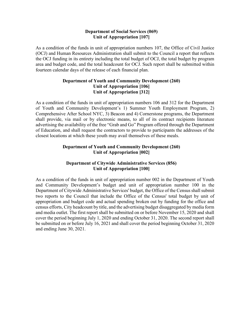#### **Department of Social Services (069) Unit of Appropriation [107]**

As a condition of the funds in unit of appropriation numbers 107, the Office of Civil Justice (OCJ) and Human Resources Administration shall submit to the Council a report that reflects the OCJ funding in its entirety including the total budget of OCJ, the total budget by program area and budget code, and the total headcount for OCJ. Such report shall be submitted within fourteen calendar days of the release of each financial plan.

## **Department of Youth and Community Development (260) Unit of Appropriation [106] Unit of Appropriation [312]**

As a condition of the funds in unit of appropriation numbers 106 and 312 for the Department of Youth and Community Development's 1) Summer Youth Employment Program, 2) Comprehensive After School NYC, 3) Beacon and 4) Cornerstone programs, the Department shall provide, via mail or by electronic means, to all of its contract recipients literature advertising the availability of the free "Grab and Go" Program offered through the Department of Education, and shall request the contractors to provide to participants the addresses of the closest locations at which these youth may avail themselves of these meals.

## **Department of Youth and Community Development (260) Unit of Appropriation [002]**

## **Department of Citywide Administrative Services (856) Unit of Appropriation [100]**

As a condition of the funds in unit of appropriation number 002 in the Department of Youth and Community Development's budget and unit of appropriation number 100 in the Department of Citywide Administrative Services' budget, the Office of the Census shall submit two reports to the Council that include the Office of the Census' total budget by unit of appropriation and budget code and actual spending broken out by funding for the office and census efforts, City headcount by title, and the advertising budget disaggregated by media form and media outlet. The first report shall be submitted on or before November 15, 2020 and shall cover the period beginning July 1, 2020 and ending October 31, 2020. The second report shall be submitted on or before July 16, 2021 and shall cover the period beginning October 31, 2020 and ending June 30, 2021.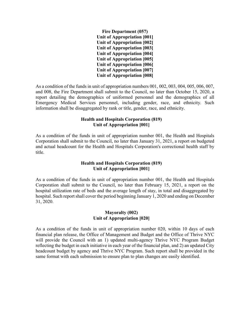| Fire Department (057)              |
|------------------------------------|
| <b>Unit of Appropriation [001]</b> |
| Unit of Appropriation [002]        |
| Unit of Appropriation [003]        |
| <b>Unit of Appropriation [004]</b> |
| Unit of Appropriation [005]        |
| <b>Unit of Appropriation [006]</b> |
| Unit of Appropriation [007]        |
| <b>Unit of Appropriation [008]</b> |

As a condition of the funds in unit of appropriation numbers 001, 002, 003, 004, 005, 006, 007, and 008, the Fire Department shall submit to the Council, no later than October 15, 2020, a report detailing the demographics of uniformed personnel and the demographics of all Emergency Medical Services personnel, including gender, race, and ethnicity. Such information shall be disaggregated by rank or title, gender, race, and ethnicity.

#### **Health and Hospitals Corporation (819) Unit of Appropriation [001]**

As a condition of the funds in unit of appropriation number 001, the Health and Hospitals Corporation shall submit to the Council, no later than January 31, 2021, a report on budgeted and actual headcount for the Health and Hospitals Corporation's correctional health staff by title.

## **Health and Hospitals Corporation (819) Unit of Appropriation [001]**

As a condition of the funds in unit of appropriation number 001, the Health and Hospitals Corporation shall submit to the Council, no later than February 15, 2021, a report on the hospital utilization rate of beds and the average length of stay, in total and disaggregated by hospital. Such report shall cover the period beginning January 1, 2020 and ending on December 31, 2020.

#### **Mayoralty (002) Unit of Appropriation [020]**

As a condition of the funds in unit of appropriation number 020, within 10 days of each financial plan release, the Office of Management and Budget and the Office of Thrive NYC will provide the Council with an 1) updated multi-agency Thrive NYC Program Budget reflecting the budget in each initiative in each year of the financial plan, and 2) an updated City headcount budget by agency and Thrive NYC Program. Such report shall be provided in the same format with each submission to ensure plan to plan changes are easily identified.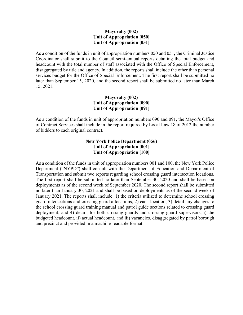## **Mayoralty (002) Unit of Appropriation [050] Unit of Appropriation [051]**

As a condition of the funds in unit of appropriation numbers 050 and 051, the Criminal Justice Coordinator shall submit to the Council semi-annual reports detailing the total budget and headcount with the total number of staff associated with the Office of Special Enforcement, disaggregated by title and agency. In addition, the reports shall include the other than personal services budget for the Office of Special Enforcement. The first report shall be submitted no later than September 15, 2020, and the second report shall be submitted no later than March 15, 2021.

## **Mayoralty (002) Unit of Appropriation [090] Unit of Appropriation [091]**

As a condition of the funds in unit of appropriation numbers 090 and 091, the Mayor's Office of Contract Services shall include in the report required by Local Law 18 of 2012 the number of bidders to each original contract.

## **New York Police Department (056) Unit of Appropriation [001] Unit of Appropriation [100]**

As a condition of the funds in unit of appropriation numbers 001 and 100, the New York Police Department ("NYPD") shall consult with the Department of Education and Department of Transportation and submit two reports regarding school crossing guard intersection locations. The first report shall be submitted no later than September 30, 2020 and shall be based on deployments as of the second week of September 2020. The second report shall be submitted no later than January 30, 2021 and shall be based on deployments as of the second week of January 2021. The reports shall include: 1) the criteria utilized to determine school crossing guard intersections and crossing guard allocations; 2) each location; 3) detail any changes to the school crossing guard training manual and patrol guide sections related to crossing guard deployment; and 4) detail, for both crossing guards and crossing guard supervisors, i) the budgeted headcount, ii) actual headcount, and iii) vacancies, disaggregated by patrol borough and precinct and provided in a machine-readable format.